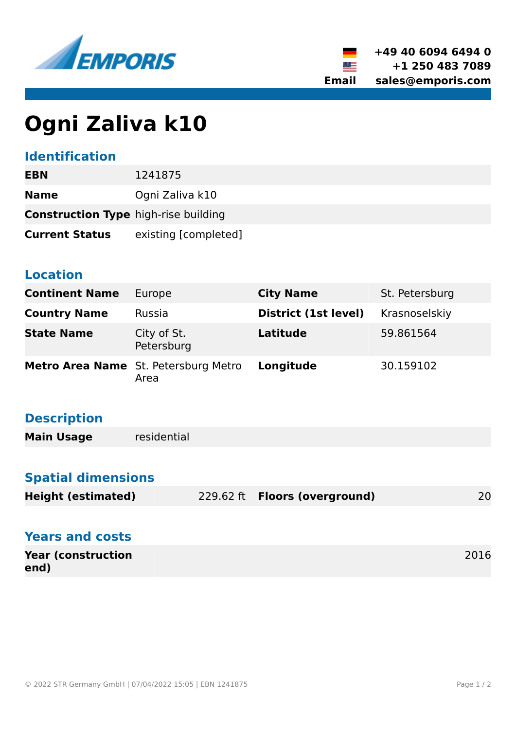



# **Ogni Zaliva k10**

### **Identification**

| <b>EBN</b>                                  | 1241875              |  |
|---------------------------------------------|----------------------|--|
| <b>Name</b>                                 | Ogni Zaliva k10      |  |
| <b>Construction Type high-rise building</b> |                      |  |
| <b>Current Status</b>                       | existing [completed] |  |

#### **Location**

| <b>Continent Name</b> | Europe                                              | <b>City Name</b>     | St. Petersburg |
|-----------------------|-----------------------------------------------------|----------------------|----------------|
| <b>Country Name</b>   | Russia                                              | District (1st level) | Krasnoselskiy  |
| <b>State Name</b>     | City of St.<br>Petersburg                           | <b>Latitude</b>      | 59.861564      |
|                       | <b>Metro Area Name</b> St. Petersburg Metro<br>Area | Longitude            | 30.159102      |

# **Description**

| <b>Main Usage</b> | residential |  |
|-------------------|-------------|--|
|-------------------|-------------|--|

## **Spatial dimensions**

|                           |                                      | 20 |
|---------------------------|--------------------------------------|----|
| <b>Height (estimated)</b> | 229.62 ft <b>Floors (overground)</b> |    |

| <b>Years and costs</b>            |      |
|-----------------------------------|------|
| <b>Year (construction</b><br>end) | 2016 |